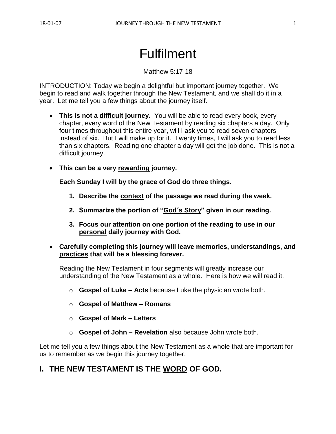#### Matthew 5:17-18

INTRODUCTION: Today we begin a delightful but important journey together. We begin to read and walk together through the New Testament, and we shall do it in a year. Let me tell you a few things about the journey itself.

- **This is not a difficult journey.** You will be able to read every book, every chapter, every word of the New Testament by reading six chapters a day. Only four times throughout this entire year, will I ask you to read seven chapters instead of six. But I will make up for it. Twenty times, I will ask you to read less than six chapters. Reading one chapter a day will get the job done. This is not a difficult journey.
- **This can be a very rewarding journey.**

**Each Sunday I will by the grace of God do three things.**

- **1. Describe the context of the passage we read during the week.**
- **2. Summarize the portion of "God´s Story" given in our reading.**
- **3. Focus our attention on one portion of the reading to use in our personal daily journey with God.**
- **Carefully completing this journey will leave memories, understandings, and practices that will be a blessing forever.**

Reading the New Testament in four segments will greatly increase our understanding of the New Testament as a whole. Here is how we will read it.

- o **Gospel of Luke – Acts** because Luke the physician wrote both.
- o **Gospel of Matthew – Romans**
- o **Gospel of Mark – Letters**
- o **Gospel of John – Revelation** also because John wrote both.

Let me tell you a few things about the New Testament as a whole that are important for us to remember as we begin this journey together.

# **I. THE NEW TESTAMENT IS THE WORD OF GOD.**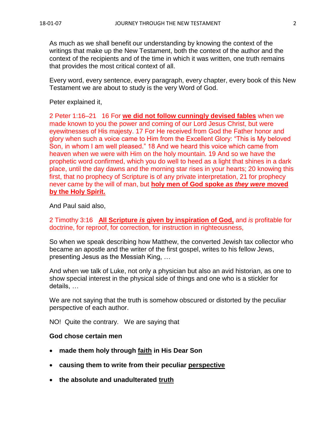As much as we shall benefit our understanding by knowing the context of the writings that make up the New Testament, both the context of the author and the context of the recipients and of the time in which it was written, one truth remains that provides the most critical context of all.

Every word, every sentence, every paragraph, every chapter, every book of this New Testament we are about to study is the very Word of God.

Peter explained it,

2 Peter 1:16–21 16 For **we did not follow cunningly devised fables** when we made known to you the power and coming of our Lord Jesus Christ, but were eyewitnesses of His majesty. 17 For He received from God the Father honor and glory when such a voice came to Him from the Excellent Glory: "This is My beloved Son, in whom I am well pleased." 18 And we heard this voice which came from heaven when we were with Him on the holy mountain. 19 And so we have the prophetic word confirmed, which you do well to heed as a light that shines in a dark place, until the day dawns and the morning star rises in your hearts; 20 knowing this first, that no prophecy of Scripture is of any private interpretation, 21 for prophecy never came by the will of man, but **holy men of God spoke** *as they were* **moved by the Holy Spirit.** 

And Paul said also,

2 Timothy 3:16 **All Scripture** *is* **given by inspiration of God,** and *is* profitable for doctrine, for reproof, for correction, for instruction in righteousness,

So when we speak describing how Matthew, the converted Jewish tax collector who became an apostle and the writer of the first gospel, writes to his fellow Jews, presenting Jesus as the Messiah King, …

And when we talk of Luke, not only a physician but also an avid historian, as one to show special interest in the physical side of things and one who is a stickler for details, …

We are not saying that the truth is somehow obscured or distorted by the peculiar perspective of each author.

NO! Quite the contrary. We are saying that

#### **God chose certain men**

- **made them holy through faith in His Dear Son**
- **causing them to write from their peculiar perspective**
- **the absolute and unadulterated truth**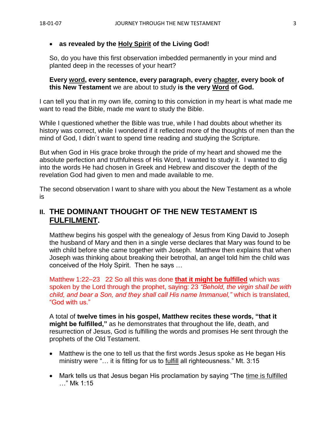### • **as revealed by the Holy Spirit of the Living God!**

So, do you have this first observation imbedded permanently in your mind and planted deep in the recesses of your heart?

#### **Every word, every sentence, every paragraph, every chapter, every book of this New Testament** we are about to study **is the very Word of God.**

I can tell you that in my own life, coming to this conviction in my heart is what made me want to read the Bible, made me want to study the Bible.

While I questioned whether the Bible was true, while I had doubts about whether its history was correct, while I wondered if it reflected more of the thoughts of men than the mind of God, I didn´t want to spend time reading and studying the Scripture.

But when God in His grace broke through the pride of my heart and showed me the absolute perfection and truthfulness of His Word, I wanted to study it. I wanted to dig into the words He had chosen in Greek and Hebrew and discover the depth of the revelation God had given to men and made available to me.

The second observation I want to share with you about the New Testament as a whole is

### **II. THE DOMINANT THOUGHT OF THE NEW TESTAMENT IS FULFILMENT.**

Matthew begins his gospel with the genealogy of Jesus from King David to Joseph the husband of Mary and then in a single verse declares that Mary was found to be with child before she came together with Joseph. Matthew then explains that when Joseph was thinking about breaking their betrothal, an angel told him the child was conceived of the Holy Spirit. Then he says …

Matthew 1:22–23 22 So all this was done **that it might be fulfilled** which was spoken by the Lord through the prophet, saying: 23 *"Behold, the virgin shall be with child, and bear a Son, and they shall call His name Immanuel,"* which is translated, "God with us."

A total of **twelve times in his gospel, Matthew recites these words, "that it might be fulfilled,"** as he demonstrates that throughout the life, death, and resurrection of Jesus, God is fulfilling the words and promises He sent through the prophets of the Old Testament.

- Matthew is the one to tell us that the first words Jesus spoke as He began His ministry were "… it is fitting for us to fulfill all righteousness." Mt. 3:15
- Mark tells us that Jesus began His proclamation by saying "The time is fulfilled …" Mk 1:15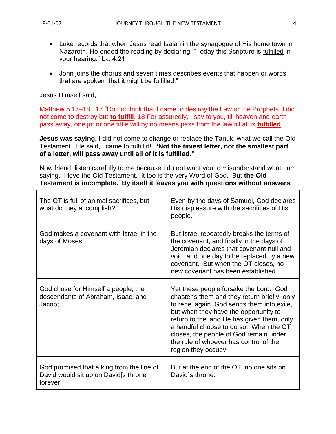- Luke records that when Jesus read Isaiah in the synagogue of His home town in Nazareth, He ended the reading by declaring, "Today this Scripture is fulfilled in your hearing." Lk. 4:21
- John joins the chorus and seven times describes events that happen or words that are spoken "that it might be fulfilled."

Jesus Himself said,

Matthew 5:17–18 17 "Do not think that I came to destroy the Law or the Prophets. I did not come to destroy but **to fulfill**. 18 For assuredly, I say to you, till heaven and earth pass away, one jot or one tittle will by no means pass from the law till all is **fulfilled**.

**Jesus was saying,** I did not come to change or replace the Tanuk, what we call the Old Testament. He said, I came to fulfill it**! "Not the tiniest letter, not the smallest part of a letter, will pass away until all of it is fulfilled."**

Now friend, listen carefully to me because I do not want you to misunderstand what I am saying. I love the Old Testament. It too is the very Word of God. But **the Old Testament is incomplete. By itself it leaves you with questions without answers.**

| The OT is full of animal sacrifices, but<br>what do they accomplish?                          | Even by the days of Samuel, God declares<br>His displeasure with the sacrifices of His<br>people.                                                                                                                                                                                                                                                                               |
|-----------------------------------------------------------------------------------------------|---------------------------------------------------------------------------------------------------------------------------------------------------------------------------------------------------------------------------------------------------------------------------------------------------------------------------------------------------------------------------------|
| God makes a covenant with Israel in the<br>days of Moses,                                     | But Israel repeatedly breaks the terms of<br>the covenant, and finally in the days of<br>Jeremiah declares that covenant null and<br>void, and one day to be replaced by a new<br>covenant. But when the OT closes, no<br>new covenant has been established.                                                                                                                    |
| God chose for Himself a people, the<br>descendants of Abraham, Isaac, and<br>Jacob;           | Yet these people forsake the Lord. God<br>chastens them and they return briefly, only<br>to rebel again. God sends them into exile,<br>but when they have the opportunity to<br>return to the land He has given them, only<br>a handful choose to do so. When the OT<br>closes, the people of God remain under<br>the rule of whoever has control of the<br>region they occupy. |
| God promised that a king from the line of<br>David would sit up on David[s throne<br>forever, | But at the end of the OT, no one sits on<br>David's throne.                                                                                                                                                                                                                                                                                                                     |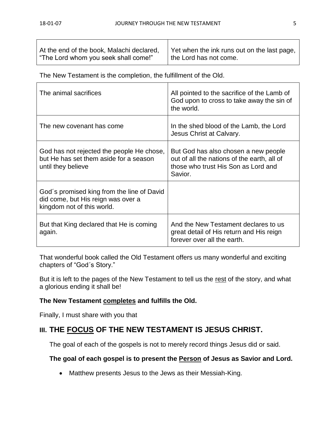| At the end of the book, Malachi declared, | Yet when the ink runs out on the last page, |
|-------------------------------------------|---------------------------------------------|
| "The Lord whom you seek shall come!"      | the Lord has not come.                      |

The New Testament is the completion, the fulfillment of the Old.

| The animal sacrifices                                                                                          | All pointed to the sacrifice of the Lamb of<br>God upon to cross to take away the sin of<br>the world.                                |
|----------------------------------------------------------------------------------------------------------------|---------------------------------------------------------------------------------------------------------------------------------------|
| The new covenant has come                                                                                      | In the shed blood of the Lamb, the Lord<br>Jesus Christ at Calvary.                                                                   |
| God has not rejected the people He chose,<br>but He has set them aside for a season<br>until they believe      | But God has also chosen a new people<br>out of all the nations of the earth, all of<br>those who trust His Son as Lord and<br>Savior. |
| God's promised king from the line of David<br>did come, but His reign was over a<br>kingdom not of this world. |                                                                                                                                       |
| But that King declared that He is coming<br>again.                                                             | And the New Testament declares to us<br>great detail of His return and His reign<br>forever over all the earth.                       |

That wonderful book called the Old Testament offers us many wonderful and exciting chapters of "God´s Story."

But it is left to the pages of the New Testament to tell us the rest of the story, and what a glorious ending it shall be!

### **The New Testament completes and fulfills the Old.**

Finally, I must share with you that

# **III. THE FOCUS OF THE NEW TESTAMENT IS JESUS CHRIST.**

The goal of each of the gospels is not to merely record things Jesus did or said.

### **The goal of each gospel is to present the Person of Jesus as Savior and Lord.**

• Matthew presents Jesus to the Jews as their Messiah-King.